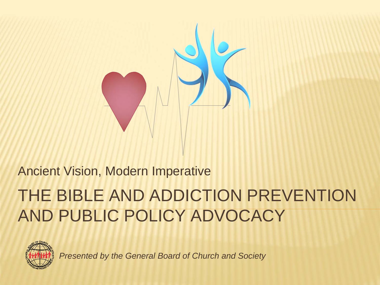

#### Ancient Vision, Modern Imperative

### THE BIBLE AND ADDICTION PREVENTION AND PUBLIC POLICY ADVOCACY



*Presented by the General Board of Church and Society*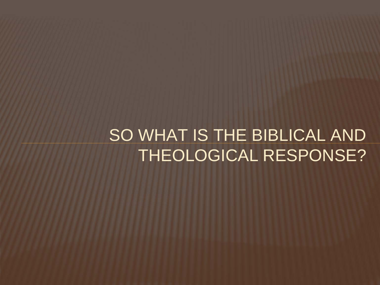SO WHAT IS THE BIBLICAL AND THEOLOGICAL RESPONSE?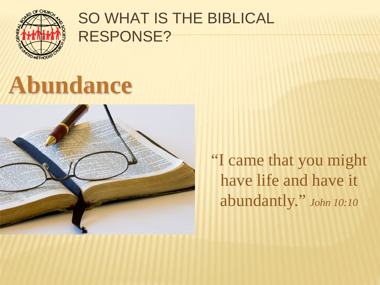

## **Abundance**



"I came that you might have life and have it abundantly." *John 10:10*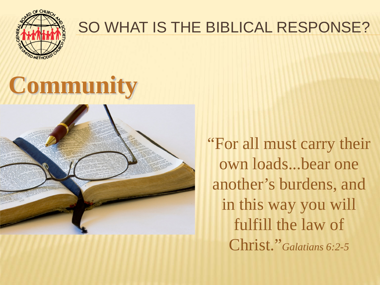

# **Community**



"For all must carry their own loads...bear one another's burdens, and in this way you will fulfill the law of Christ."*Galatians 6:2-5*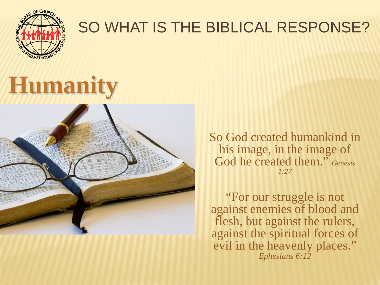

## **Humanity**



So God created humankind in his image, in the image of God he created them." *Genesis 1:27*

"For our struggle is not against enemies of blood and flesh, but against the rulers, against the spiritual forces of evil in the heavenly places." *Ephesians 6:12*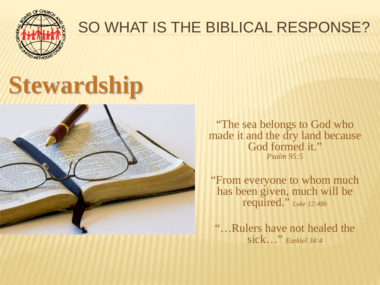

# **Stewardship**



"The sea belongs to God who made it and the dry land because God formed it." *Psalm 95:5*

"From everyone to whom much has been given, much will be required." *Luke 12:48b*

"…Rulers have not healed the sick…" *Ezekiel 34:4*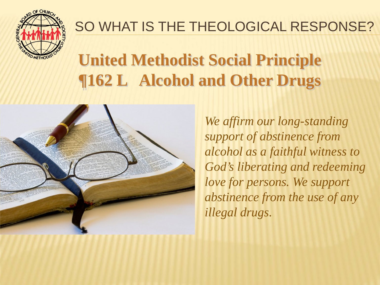

### **United Methodist Social Principle ¶162 L Alcohol and Other Drugs**



*We affirm our long-standing support of abstinence from alcohol as a faithful witness to God's liberating and redeeming love for persons. We support abstinence from the use of any illegal drugs.*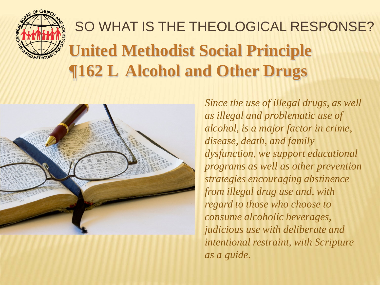

### **United Methodist Social Principle ¶162 L Alcohol and Other Drugs** SO WHAT IS THE THEOLOGICAL RESPONSE?



*Since the use of illegal drugs, as well as illegal and problematic use of alcohol, is a major factor in crime, disease, death, and family dysfunction, we support educational programs as well as other prevention strategies encouraging abstinence from illegal drug use and, with regard to those who choose to consume alcoholic beverages, judicious use with deliberate and intentional restraint, with Scripture as a guide.*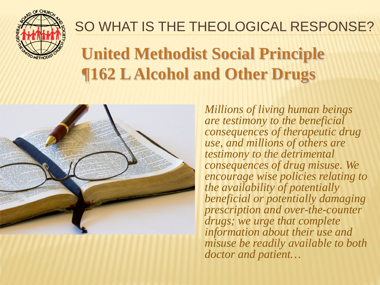

### **United Methodist Social Principle ¶162 L Alcohol and Other Drugs**



*Millions of living human beings are testimony to the beneficial consequences of therapeutic drug use, and millions of others are testimony to the detrimental consequences of drug misuse. We encourage wise policies relating to the availability of potentially beneficial or potentially damaging prescription and over-the-counter drugs; we urge that complete information about their use and misuse be readily available to both doctor and patient…*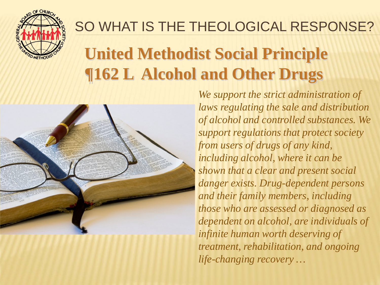

### **United Methodist Social Principle ¶162 L Alcohol and Other Drugs**



*We support the strict administration of laws regulating the sale and distribution of alcohol and controlled substances. We support regulations that protect society from users of drugs of any kind, including alcohol, where it can be shown that a clear and present social danger exists. Drug-dependent persons and their family members, including those who are assessed or diagnosed as dependent on alcohol, are individuals of infinite human worth deserving of treatment, rehabilitation, and ongoing life-changing recovery …*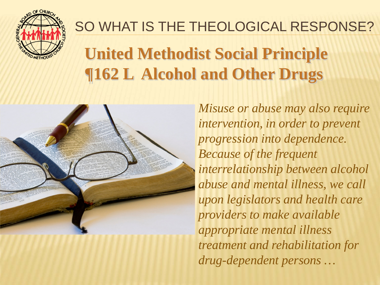

### **United Methodist Social Principle ¶162 L Alcohol and Other Drugs**



*Misuse or abuse may also require intervention, in order to prevent progression into dependence. Because of the frequent interrelationship between alcohol abuse and mental illness, we call upon legislators and health care providers to make available appropriate mental illness treatment and rehabilitation for drug-dependent persons …*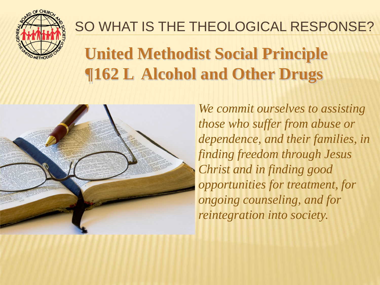

### **United Methodist Social Principle ¶162 L Alcohol and Other Drugs**



*We commit ourselves to assisting those who suffer from abuse or dependence, and their families, in finding freedom through Jesus Christ and in finding good opportunities for treatment, for ongoing counseling, and for reintegration into society.*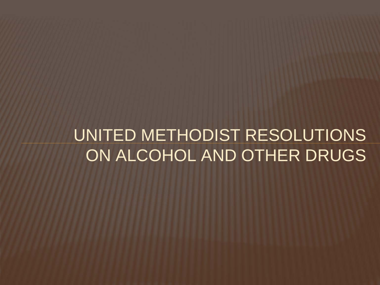### UNITED METHODIST RESOLUTIONS ON ALCOHOL AND OTHER DRUGS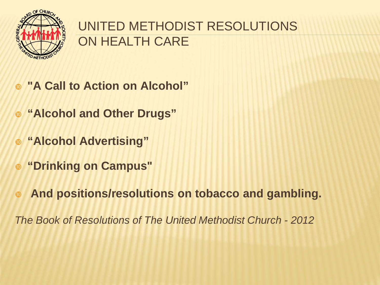

#### UNITED METHODIST RESOLUTIONS ON HEALTH CARE

- **"A Call to Action on Alcohol"**
- **"Alcohol and Other Drugs"**
- **"Alcohol Advertising"**
- **"Drinking on Campus"**
- **And positions/resolutions on tobacco and gambling.**

*The Book of Resolutions of The United Methodist Church - 2012*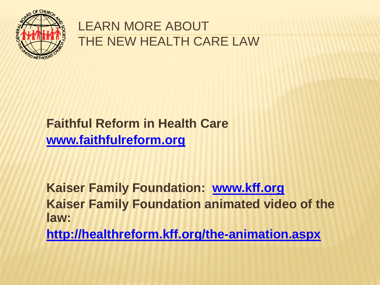

#### LEARN MORE ABOUT THE NEW HEALTH CARE LAW

#### **Faithful Reform in Health Care [www.faithfulreform.org](http://www.faithfulreform.org/)**

**Kaiser Family Foundation: [www.kff.org](http://www.kff.org/) Kaiser Family Foundation animated video of the law:**

**<http://healthreform.kff.org/the-animation.aspx>**